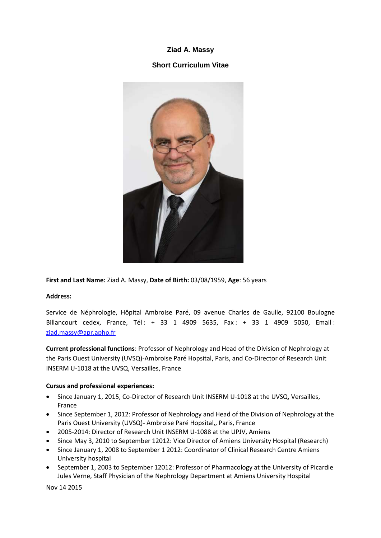# **Ziad A. Massy**

## **Short Curriculum Vitae**



**First and Last Name:** Ziad A. Massy, **Date of Birth:** 03/08/1959, **Age**: 56 years

#### **Address:**

Service de Néphrologie, Hôpital Ambroise Paré, 09 avenue Charles de Gaulle, 92100 Boulogne Billancourt cedex, France, Tél : + 33 1 4909 5635, Fax : + 33 1 4909 5050, Email : [ziad.massy@apr.aphp.fr](mailto:ziad.massy@apr.aphp.fr) 

**Current professional functions**: Professor of Nephrology and Head of the Division of Nephrology at the Paris Ouest University (UVSQ)-Ambroise Paré Hopsital, Paris, and Co-Director of Research Unit INSERM U-1018 at the UVSQ, Versailles, France

#### **Cursus and professional experiences:**

- Since January 1, 2015, Co-Director of Research Unit INSERM U-1018 at the UVSQ, Versailles, France
- Since September 1, 2012: Professor of Nephrology and Head of the Division of Nephrology at the Paris Ouest University (UVSQ)- Ambroise Paré Hopsital,, Paris, France
- 2005-2014: Director of Research Unit INSERM U-1088 at the UPJV, Amiens
- Since May 3, 2010 to September 12012: Vice Director of Amiens University Hospital (Research)
- Since January 1, 2008 to September 1 2012: Coordinator of Clinical Research Centre Amiens University hospital
- September 1, 2003 to September 12012: Professor of Pharmacology at the University of Picardie Jules Verne, Staff Physician of the Nephrology Department at Amiens University Hospital

Nov 14 2015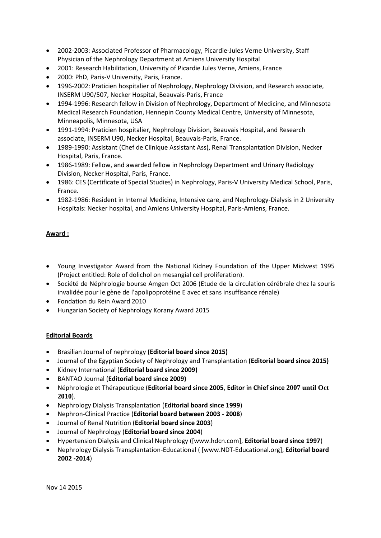- 2002-2003: Associated Professor of Pharmacology, Picardie-Jules Verne University, Staff Physician of the Nephrology Department at Amiens University Hospital
- 2001: Research Habilitation, University of Picardie Jules Verne, Amiens, France
- 2000: PhD, Paris-V University, Paris, France.
- 1996-2002: Praticien hospitalier of Nephrology, Nephrology Division, and Research associate, INSERM U90/507, Necker Hospital, Beauvais-Paris, France
- 1994-1996: Research fellow in Division of Nephrology, Department of Medicine, and Minnesota Medical Research Foundation, Hennepin County Medical Centre, University of Minnesota, Minneapolis, Minnesota, USA
- 1991-1994: Praticien hospitalier, Nephrology Division, Beauvais Hospital, and Research associate, INSERM U90, Necker Hospital, Beauvais-Paris, France.
- 1989-1990: Assistant (Chef de Clinique Assistant Ass), Renal Transplantation Division, Necker Hospital, Paris, France.
- 1986-1989: Fellow, and awarded fellow in Nephrology Department and Urinary Radiology Division, Necker Hospital, Paris, France.
- 1986: CES (Certificate of Special Studies) in Nephrology, Paris-V University Medical School, Paris, France.
- 1982-1986: Resident in Internal Medicine, Intensive care, and Nephrology-Dialysis in 2 University Hospitals: Necker hospital, and Amiens University Hospital, Paris-Amiens, France.

### **Award :**

- Young Investigator Award from the National Kidney Foundation of the Upper Midwest 1995 (Project entitled: Role of dolichol on mesangial cell proliferation).
- Société de Néphrologie bourse Amgen Oct 2006 (Etude de la circulation cérébrale chez la souris invalidée pour le gène de l'apolipoprotéine E avec et sans insuffisance rénale)
- Fondation du Rein Award 2010
- Hungarian Society of Nephrology Korany Award 2015

### **Editorial Boards**

- Brasilian Journal of nephrology **(Editorial board since 2015)**
- Journal of the Egyptian Society of Nephrology and Transplantation **(Editorial board since 2015)**
- Kidney International (**Editorial board since 2009)**
- BANTAO Journal (**Editorial board since 2009)**
- Néphrologie et Thérapeutique (**Editorial board since 2005**, **Editor in Chief since 2007 until Oct 2010**).
- Nephrology Dialysis Transplantation (**Editorial board since 1999**)
- Nephron-Clinical Practice (**Editorial board between 2003 - 2008**)
- Journal of Renal Nutrition (**Editorial board since 2003**)
- Journal of Nephrology (**Editorial board since 2004**)
- Hypertension Dialysis and Clinical Nephrology ([www.hdcn.com], **Editorial board since 1997**)
- Nephrology Dialysis Transplantation-Educational ( [www.NDT-Educational.org], **Editorial board 2002 -2014**)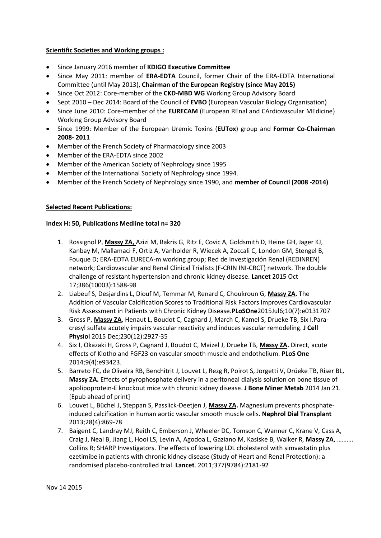#### **Scientific Societies and Working groups :**

- Since January 2016 member of **KDIGO Executive Committee**
- Since May 2011: member of **ERA-EDTA** Council, former Chair of the ERA-EDTA International Committee (until May 2013), **Chairman of the European Registry (since May 2015)**
- Since Oct 2012: Core-member of the **CKD-MBD WG** Working Group Advisory Board
- Sept 2010 Dec 2014: Board of the Council of **EVBO** (European Vascular Biology Organisation)
- Since June 2010: Core-member of the **EURECAM** (European REnal and CArdiovascular MEdicine) Working Group Advisory Board
- Since 1999: Member of the European Uremic Toxins (**EUTox**) group and **Former Co-Chairman 2008- 2011**
- Member of the French Society of Pharmacology since 2003
- Member of the ERA-EDTA since 2002
- Member of the American Society of Nephrology since 1995
- Member of the International Society of Nephrology since 1994.
- Member of the French Society of Nephrology since 1990, and **member of Council (2008 -2014)**

### **Selected Recent Publications:**

#### **Index H: 50, Publications Medline total n= 320**

- 1. Rossignol P, **Massy ZA,** Azizi M, Bakris G, Ritz E, Covic A, Goldsmith D, Heine GH, Jager KJ, Kanbay M, Mallamaci F, Ortiz A, Vanholder R, Wiecek A, Zoccali C, London GM, Stengel B, Fouque D; ERA-EDTA EURECA-m working group; Red de Investigación Renal (REDINREN) network; Cardiovascular and Renal Clinical Trialists (F-CRIN INI-CRCT) network. The double challenge of resistant hypertension and chronic kidney disease. **Lancet** 2015 Oct 17;386(10003):1588-98
- 2. Liabeuf S, Desjardins L, Diouf M, Temmar M, Renard C, Choukroun G, **Massy ZA**. The Addition of Vascular Calcification Scores to Traditional Risk Factors Improves Cardiovascular Risk Assessment in Patients with Chronic Kidney Disease.**PLoSOne**2015Jul6;10(7):e0131707
- 3. Gross P, **Massy ZA**, Henaut L, Boudot C, Cagnard J, March C, Kamel S, Drueke TB, Six I.Paracresyl sulfate acutely impairs vascular reactivity and induces vascular remodeling. **J Cell Physiol** 2015 Dec;230(12):2927-35
- 4. Six I, Okazaki H, Gross P, Cagnard J, Boudot C, Maizel J, Drueke TB, **Massy ZA.** Direct, acute effects of Klotho and FGF23 on vascular smooth muscle and endothelium. **PLoS One** 2014;9(4):e93423.
- 5. Barreto FC, de Oliveira RB, Benchitrit J, Louvet L, Rezg R, Poirot S, Jorgetti V, Drüeke TB, Riser BL, **Massy ZA.** Effects of pyrophosphate delivery in a peritoneal dialysis solution on bone tissue of apolipoprotein-E knockout mice with chronic kidney disease. **J Bone Miner Metab** 2014 Jan 21. [Epub ahead of print]
- 6. Louvet L, Büchel J, Steppan S, Passlick-Deetjen J, **Massy ZA.** Magnesium prevents phosphateinduced calcification in human aortic vascular smooth muscle cells. **Nephrol Dial Transplant** 2013;28(4):869-78
- 7. Baigent C, Landray MJ, Reith C, Emberson J, Wheeler DC, Tomson C, Wanner C, Krane V, Cass A, Craig J, Neal B, Jiang L, Hooi LS, Levin A, Agodoa L, Gaziano M, Kasiske B, Walker R, **Massy ZA**, ………. Collins R; SHARP Investigators. The effects of lowering LDL cholesterol with simvastatin plus ezetimibe in patients with chronic kidney disease (Study of Heart and Renal Protection): a randomised placebo-controlled trial. **Lancet**. 2011;377(9784):2181-92